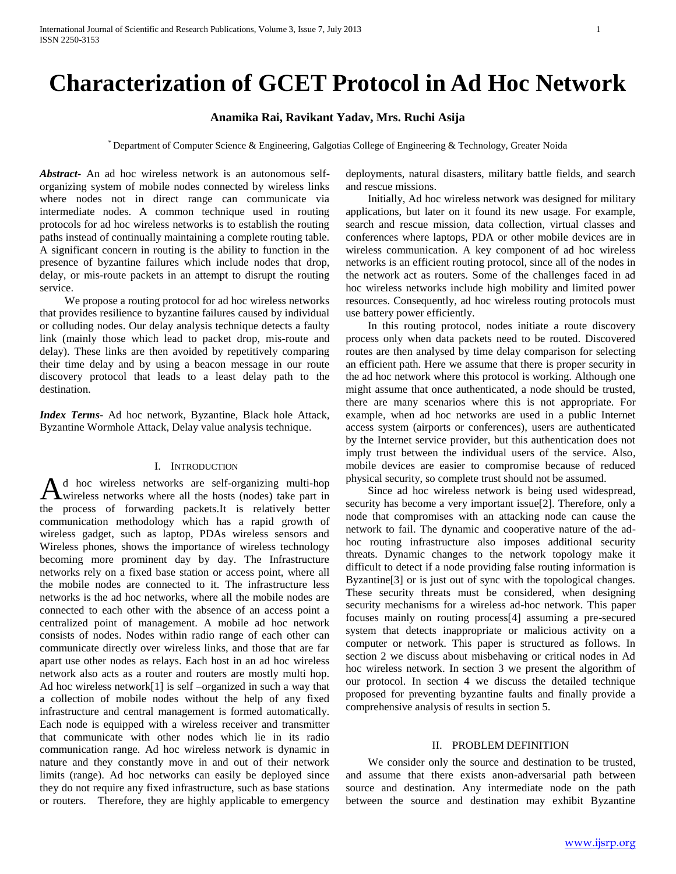# **Characterization of GCET Protocol in Ad Hoc Network**

# **Anamika Rai, Ravikant Yadav, Mrs. Ruchi Asija**

\* Department of Computer Science & Engineering, Galgotias College of Engineering & Technology, Greater Noida

*Abstract***-** An ad hoc wireless network is an autonomous selforganizing system of mobile nodes connected by wireless links where nodes not in direct range can communicate via intermediate nodes. A common technique used in routing protocols for ad hoc wireless networks is to establish the routing paths instead of continually maintaining a complete routing table. A significant concern in routing is the ability to function in the presence of byzantine failures which include nodes that drop, delay, or mis-route packets in an attempt to disrupt the routing service.

 We propose a routing protocol for ad hoc wireless networks that provides resilience to byzantine failures caused by individual or colluding nodes. Our delay analysis technique detects a faulty link (mainly those which lead to packet drop, mis-route and delay). These links are then avoided by repetitively comparing their time delay and by using a beacon message in our route discovery protocol that leads to a least delay path to the destination.

*Index Terms*- Ad hoc network, Byzantine, Black hole Attack, Byzantine Wormhole Attack, Delay value analysis technique.

## I. INTRODUCTION

d hoc wireless networks are self-organizing multi-hop A d hoc wireless networks are self-organizing multi-hop wireless networks where all the hosts (nodes) take part in the process of forwarding packets.It is relatively better communication methodology which has a rapid growth of wireless gadget, such as laptop, PDAs wireless sensors and Wireless phones, shows the importance of wireless technology becoming more prominent day by day. The Infrastructure networks rely on a fixed base station or access point, where all the mobile nodes are connected to it. The infrastructure less networks is the ad hoc networks, where all the mobile nodes are connected to each other with the absence of an access point a centralized point of management. A mobile ad hoc network consists of nodes. Nodes within radio range of each other can communicate directly over wireless links, and those that are far apart use other nodes as relays. Each host in an ad hoc wireless network also acts as a router and routers are mostly multi hop. Ad hoc wireless network[1] is self –organized in such a way that a collection of mobile nodes without the help of any fixed infrastructure and central management is formed automatically. Each node is equipped with a wireless receiver and transmitter that communicate with other nodes which lie in its radio communication range. Ad hoc wireless network is dynamic in nature and they constantly move in and out of their network limits (range). Ad hoc networks can easily be deployed since they do not require any fixed infrastructure, such as base stations or routers. Therefore, they are highly applicable to emergency

deployments, natural disasters, military battle fields, and search and rescue missions.

 Initially, Ad hoc wireless network was designed for military applications, but later on it found its new usage. For example, search and rescue mission, data collection, virtual classes and conferences where laptops, PDA or other mobile devices are in wireless communication. A key component of ad hoc wireless networks is an efficient routing protocol, since all of the nodes in the network act as routers. Some of the challenges faced in ad hoc wireless networks include high mobility and limited power resources. Consequently, ad hoc wireless routing protocols must use battery power efficiently.

 In this routing protocol, nodes initiate a route discovery process only when data packets need to be routed. Discovered routes are then analysed by time delay comparison for selecting an efficient path. Here we assume that there is proper security in the ad hoc network where this protocol is working. Although one might assume that once authenticated, a node should be trusted, there are many scenarios where this is not appropriate. For example, when ad hoc networks are used in a public Internet access system (airports or conferences), users are authenticated by the Internet service provider, but this authentication does not imply trust between the individual users of the service. Also, mobile devices are easier to compromise because of reduced physical security, so complete trust should not be assumed.

 Since ad hoc wireless network is being used widespread, security has become a very important issue[2]. Therefore, only a node that compromises with an attacking node can cause the network to fail. The dynamic and cooperative nature of the adhoc routing infrastructure also imposes additional security threats. Dynamic changes to the network topology make it difficult to detect if a node providing false routing information is Byzantine[3] or is just out of sync with the topological changes. These security threats must be considered, when designing security mechanisms for a wireless ad-hoc network. This paper focuses mainly on routing process[4] assuming a pre-secured system that detects inappropriate or malicious activity on a computer or network. This paper is structured as follows. In section 2 we discuss about misbehaving or critical nodes in Ad hoc wireless network. In section 3 we present the algorithm of our protocol. In section 4 we discuss the detailed technique proposed for preventing byzantine faults and finally provide a comprehensive analysis of results in section 5.

## II. PROBLEM DEFINITION

 We consider only the source and destination to be trusted, and assume that there exists anon-adversarial path between source and destination. Any intermediate node on the path between the source and destination may exhibit Byzantine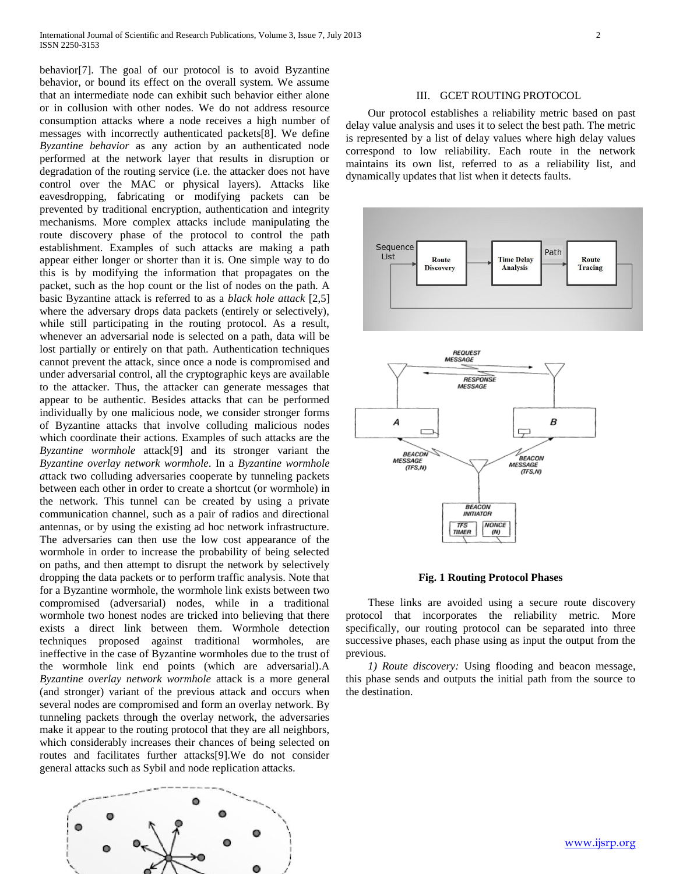behavior[7]. The goal of our protocol is to avoid Byzantine behavior, or bound its effect on the overall system. We assume that an intermediate node can exhibit such behavior either alone or in collusion with other nodes. We do not address resource consumption attacks where a node receives a high number of messages with incorrectly authenticated packets[8]. We define *Byzantine behavior* as any action by an authenticated node performed at the network layer that results in disruption or degradation of the routing service (i.e. the attacker does not have control over the MAC or physical layers). Attacks like eavesdropping, fabricating or modifying packets can be prevented by traditional encryption, authentication and integrity mechanisms. More complex attacks include manipulating the route discovery phase of the protocol to control the path establishment. Examples of such attacks are making a path appear either longer or shorter than it is. One simple way to do this is by modifying the information that propagates on the packet, such as the hop count or the list of nodes on the path. A basic Byzantine attack is referred to as a *black hole attack* [2,5] where the adversary drops data packets (entirely or selectively), while still participating in the routing protocol. As a result, whenever an adversarial node is selected on a path, data will be lost partially or entirely on that path. Authentication techniques cannot prevent the attack, since once a node is compromised and under adversarial control, all the cryptographic keys are available to the attacker. Thus, the attacker can generate messages that appear to be authentic. Besides attacks that can be performed individually by one malicious node, we consider stronger forms of Byzantine attacks that involve colluding malicious nodes which coordinate their actions. Examples of such attacks are the *Byzantine wormhole* attack[9] and its stronger variant the *Byzantine overlay network wormhole*. In a *Byzantine wormhole a*ttack two colluding adversaries cooperate by tunneling packets between each other in order to create a shortcut (or wormhole) in the network. This tunnel can be created by using a private communication channel, such as a pair of radios and directional antennas, or by using the existing ad hoc network infrastructure. The adversaries can then use the low cost appearance of the wormhole in order to increase the probability of being selected on paths, and then attempt to disrupt the network by selectively dropping the data packets or to perform traffic analysis. Note that for a Byzantine wormhole, the wormhole link exists between two compromised (adversarial) nodes, while in a traditional wormhole two honest nodes are tricked into believing that there exists a direct link between them. Wormhole detection techniques proposed against traditional wormholes, are ineffective in the case of Byzantine wormholes due to the trust of the wormhole link end points (which are adversarial).A *Byzantine overlay network wormhole* attack is a more general (and stronger) variant of the previous attack and occurs when several nodes are compromised and form an overlay network. By tunneling packets through the overlay network, the adversaries make it appear to the routing protocol that they are all neighbors, which considerably increases their chances of being selected on routes and facilitates further attacks[9].We do not consider general attacks such as Sybil and node replication attacks.



## III. GCET ROUTING PROTOCOL

 Our protocol establishes a reliability metric based on past delay value analysis and uses it to select the best path. The metric is represented by a list of delay values where high delay values correspond to low reliability. Each route in the network maintains its own list, referred to as a reliability list, and dynamically updates that list when it detects faults.



#### **Fig. 1 Routing Protocol Phases**

 These links are avoided using a secure route discovery protocol that incorporates the reliability metric. More specifically, our routing protocol can be separated into three successive phases, each phase using as input the output from the previous.

 *1) Route discovery:* Using flooding and beacon message, this phase sends and outputs the initial path from the source to the destination.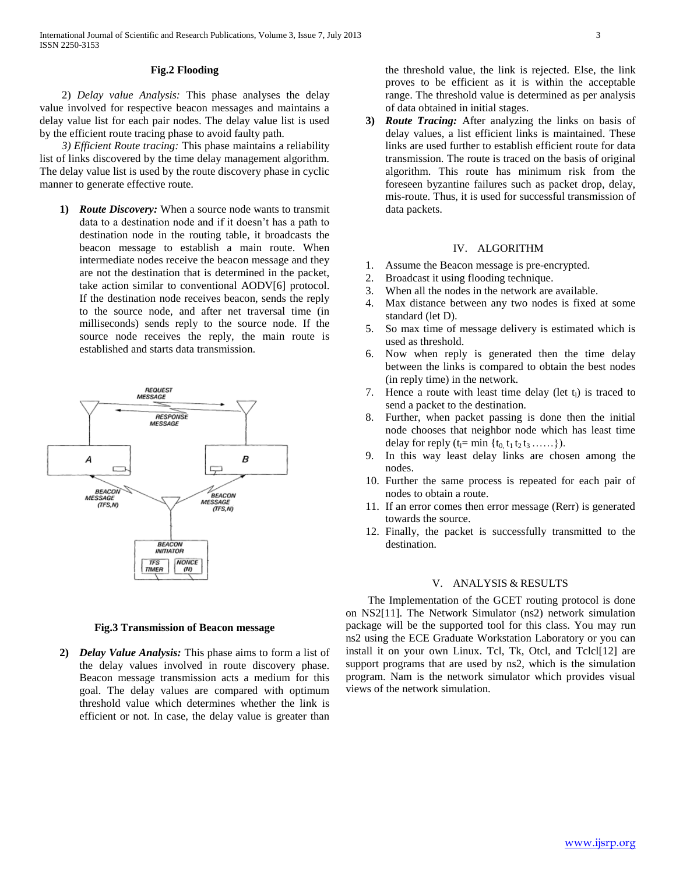## **Fig.2 Flooding**

 2) *Delay value Analysis:* This phase analyses the delay value involved for respective beacon messages and maintains a delay value list for each pair nodes. The delay value list is used by the efficient route tracing phase to avoid faulty path.

 *3) Efficient Route tracing:* This phase maintains a reliability list of links discovered by the time delay management algorithm. The delay value list is used by the route discovery phase in cyclic manner to generate effective route.

**1)** *Route Discovery:* When a source node wants to transmit data to a destination node and if it doesn't has a path to destination node in the routing table, it broadcasts the beacon message to establish a main route. When intermediate nodes receive the beacon message and they are not the destination that is determined in the packet, take action similar to conventional AODV[6] protocol. If the destination node receives beacon, sends the reply to the source node, and after net traversal time (in milliseconds) sends reply to the source node. If the source node receives the reply, the main route is established and starts data transmission.



#### **Fig.3 Transmission of Beacon message**

**2)** *Delay Value Analysis:* This phase aims to form a list of the delay values involved in route discovery phase. Beacon message transmission acts a medium for this goal. The delay values are compared with optimum threshold value which determines whether the link is efficient or not. In case, the delay value is greater than

the threshold value, the link is rejected. Else, the link proves to be efficient as it is within the acceptable range. The threshold value is determined as per analysis of data obtained in initial stages.

**3)** *Route Tracing:* After analyzing the links on basis of delay values, a list efficient links is maintained. These links are used further to establish efficient route for data transmission. The route is traced on the basis of original algorithm. This route has minimum risk from the foreseen byzantine failures such as packet drop, delay, mis-route. Thus, it is used for successful transmission of data packets.

## IV. ALGORITHM

- 1. Assume the Beacon message is pre-encrypted.
- 2. Broadcast it using flooding technique.
- 3. When all the nodes in the network are available.
- 4. Max distance between any two nodes is fixed at some standard (let D).
- 5. So max time of message delivery is estimated which is used as threshold.
- 6. Now when reply is generated then the time delay between the links is compared to obtain the best nodes (in reply time) in the network.
- 7. Hence a route with least time delay (let  $t_1$ ) is traced to send a packet to the destination.
- 8. Further, when packet passing is done then the initial node chooses that neighbor node which has least time delay for reply  $(t_1= min \{t_0, t_1 t_2 t_3 \ldots \} )$ .
- 9. In this way least delay links are chosen among the nodes.
- 10. Further the same process is repeated for each pair of nodes to obtain a route.
- 11. If an error comes then error message (Rerr) is generated towards the source.
- 12. Finally, the packet is successfully transmitted to the destination.

## V. ANALYSIS & RESULTS

 The Implementation of the GCET routing protocol is done on NS2[11]. The Network Simulator (ns2) network simulation package will be the supported tool for this class. You may run ns2 using the ECE Graduate Workstation Laboratory or you can install it on your own Linux. Tcl, Tk, Otcl, and Tclcl[12] are support programs that are used by ns2, which is the simulation program. Nam is the network simulator which provides visual views of the network simulation.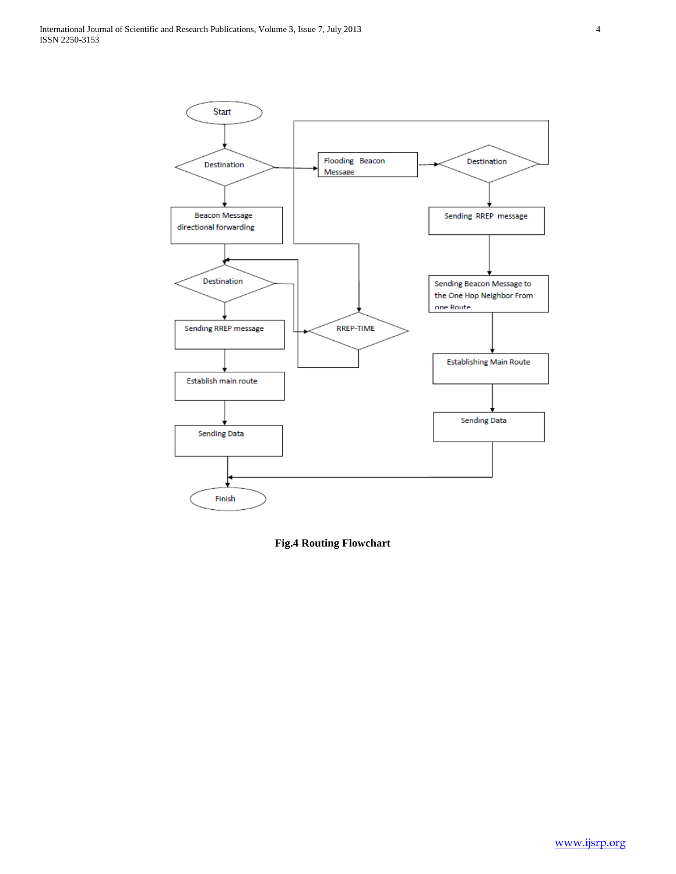

**Fig.4 Routing Flowchart**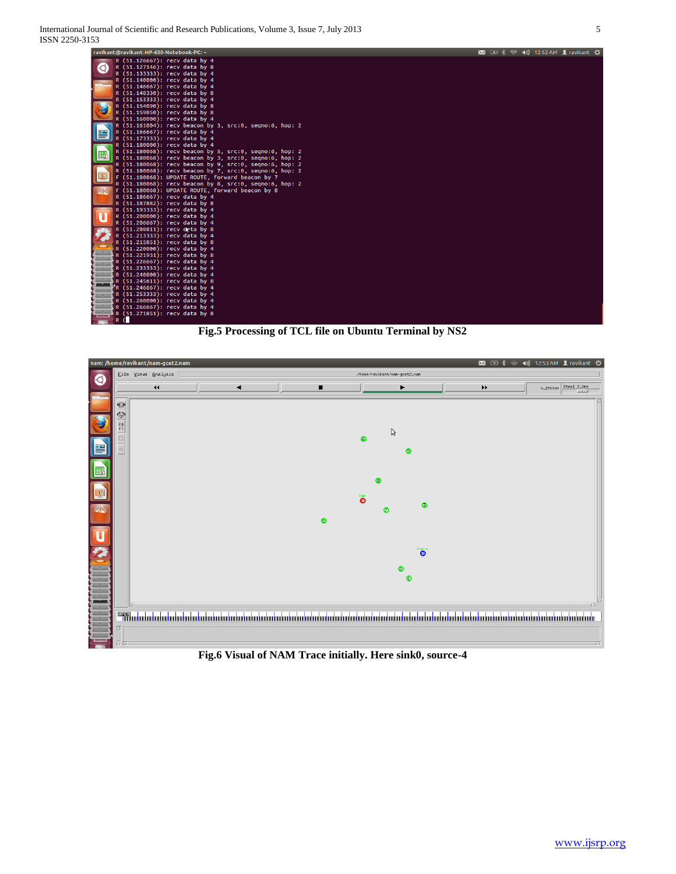



**Fig.6 Visual of NAM Trace initially. Here sink0, source-4**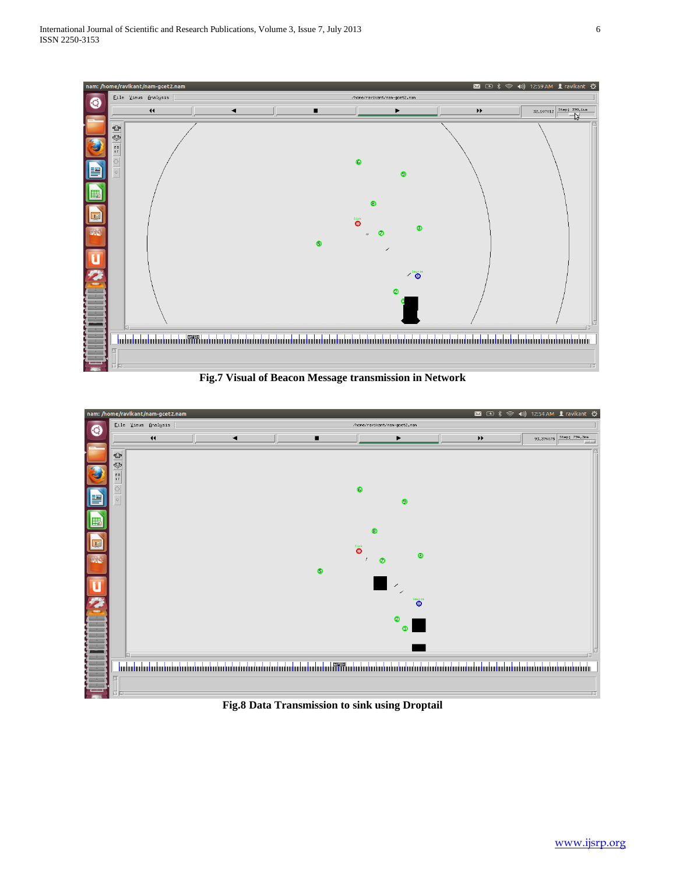

**Fig.7 Visual of Beacon Message transmission in Network**



**Fig.8 Data Transmission to sink using Droptail**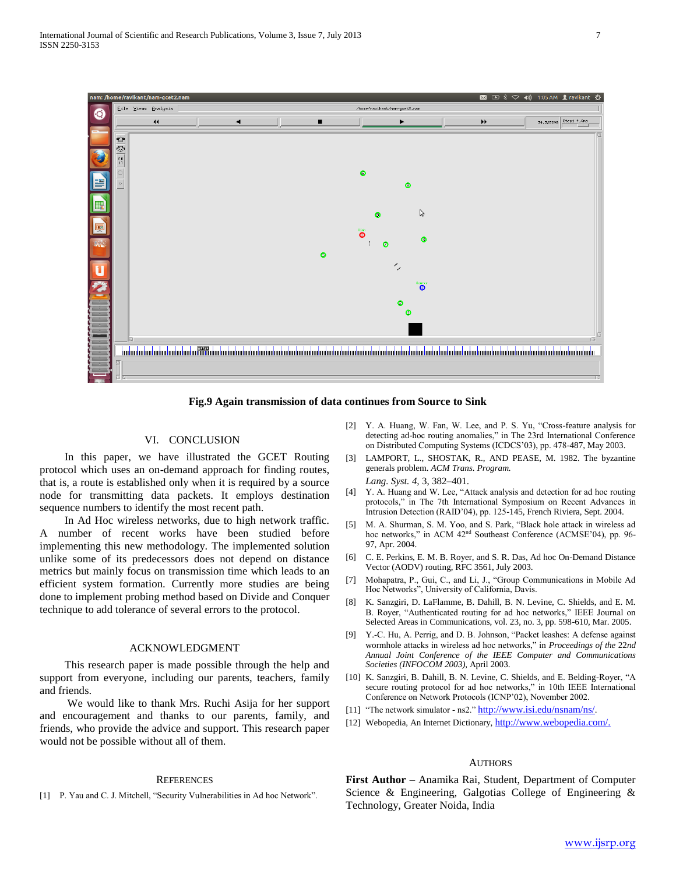

**Fig.9 Again transmission of data continues from Source to Sink**

### VI. CONCLUSION

 In this paper, we have illustrated the GCET Routing protocol which uses an on-demand approach for finding routes, that is, a route is established only when it is required by a source node for transmitting data packets. It employs destination sequence numbers to identify the most recent path.

 In Ad Hoc wireless networks, due to high network traffic. A number of recent works have been studied before implementing this new methodology. The implemented solution unlike some of its predecessors does not depend on distance metrics but mainly focus on transmission time which leads to an efficient system formation. Currently more studies are being done to implement probing method based on Divide and Conquer technique to add tolerance of several errors to the protocol.

#### ACKNOWLEDGMENT

 This research paper is made possible through the help and support from everyone, including our parents, teachers, family and friends.

 We would like to thank Mrs. Ruchi Asija for her support and encouragement and thanks to our parents, family, and friends, who provide the advice and support. This research paper would not be possible without all of them.

#### **REFERENCES**

[1] P. Yau and C. J. Mitchell, "Security Vulnerabilities in Ad hoc Network".

- [2] Y. A. Huang, W. Fan, W. Lee, and P. S. Yu, "Cross-feature analysis for detecting ad-hoc routing anomalies," in The 23rd International Conference on Distributed Computing Systems (ICDCS'03), pp. 478-487, May 2003.
- [3] LAMPORT, L., SHOSTAK, R., AND PEASE, M. 1982. The byzantine generals problem. *ACM Trans. Program. Lang. Syst. 4,* 3, 382–401.
- [4] Y. A. Huang and W. Lee, "Attack analysis and detection for ad hoc routing protocols," in The 7th International Symposium on Recent Advances in Intrusion Detection (RAID'04), pp. 125-145, French Riviera, Sept. 2004.
- [5] M. A. Shurman, S. M. Yoo, and S. Park, "Black hole attack in wireless ad hoc networks," in ACM  $42<sup>nd</sup>$  Southeast Conference (ACMSE'04), pp. 96-97, Apr. 2004.
- [6] C. E. Perkins, E. M. B. Royer, and S. R. Das, Ad hoc On-Demand Distance Vector (AODV) routing, RFC 3561, July 2003.
- [7] Mohapatra, P., Gui, C., and Li, J., "Group Communications in Mobile Ad Hoc Networks", University of California, Davis.
- [8] K. Sanzgiri, D. LaFlamme, B. Dahill, B. N. Levine, C. Shields, and E. M. B. Royer, "Authenticated routing for ad hoc networks," IEEE Journal on Selected Areas in Communications, vol. 23, no. 3, pp. 598-610, Mar. 2005.
- [9] Y.-C. Hu, A. Perrig, and D. B. Johnson, "Packet leashes: A defense against wormhole attacks in wireless ad hoc networks," in *Proceedings of the* 22*nd Annual Joint Conference of the IEEE Computer and Communications Societies (INFOCOM 2003)*, April 2003.
- [10] K. Sanzgiri, B. Dahill, B. N. Levine, C. Shields, and E. Belding-Royer, "A secure routing protocol for ad hoc networks," in 10th IEEE International Conference on Network Protocols (ICNP'02), November 2002.
- [11] "The network simulator ns2." <http://www.isi.edu/nsnam/ns/>.
- [12] Webopedia, An Internet Dictionary, [http://www.webopedia.com/.](http://www.webopedia.com/)

# **AUTHORS**

**First Author** – Anamika Rai, Student, Department of Computer Science & Engineering, Galgotias College of Engineering & Technology, Greater Noida, India